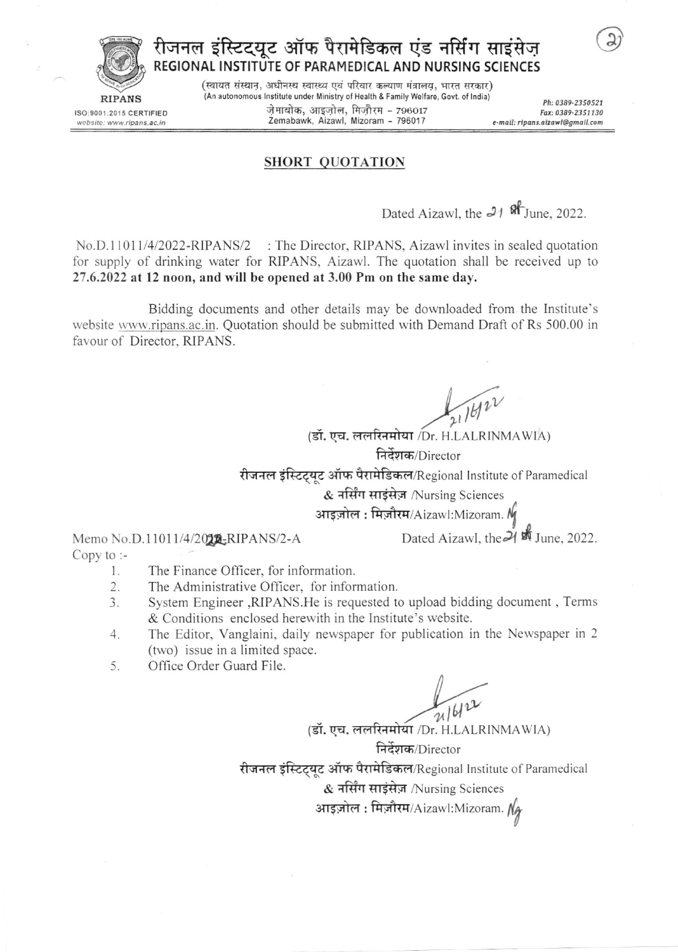

ISO:9001:2015 CERTIFIED

website: www.ripans.ac.in

रीजनल इंस्टिट्यूट ऑफ पैरामेडिकल एंड नर्सिंग साइंसेज़ REGIONAL INSTITUTE OF PARAMEDICAL AND NURSING SCIENCES

> (स्वायत संस्थान, अधीनस्थ स्वास्थ्य एवं परिवार कल्याण मंत्रालय, भारत सरकार) (An autonomous Institute under Ministry of Health & Family Welfare, Govt. of India) ज़ेमाबोक, आइज़ोल, मिज़ौरम - 796017 Zemabawk, Aizawl, Mizoram - 796017

Ph: 0389-2350521 Fax: 0389-2351130 e-mail: ripans.aizawl@amail.com

#### **SHORT QUOTATION**

Dated Aizawl, the 21 ft June. 2022.

No.D.11011/4/2022-RIPANS/2 : The Director, RIPANS, Aizawl invites in sealed quotation for supply of drinking water for RIPANS, Aizawl. The quotation shall be received up to 27.6.2022 at 12 noon, and will be opened at 3.00 Pm on the same day.

Bidding documents and other details may be downloaded from the Institute's website www.ripans.ac.in. Quotation should be submitted with Demand Draft of Rs 500.00 in favour of Director, RIPANS.

21/6/22

Dated Aizawl, the 21 th June, 2022.

(डॉ. एच. ललरिनमोया /Dr. H.LALRINMAWIA) निर्देशक/Director

रीजनल इंस्टिट्युट ऑफ पैरामेडिकल/Regional Institute of Paramedical

& नर्सिंग साइंसेज़ /Nursing Sciences

आइज़ोल: मिज़ौरम/Aizawl:Mizoram.  $\mathcal{N}_j$ 

Memo No.D.11011/4/2016-RIPANS/2-A Copy to  $:$ 

- The Finance Officer, for information. 1.
- $\overline{2}$ . The Administrative Officer, for information.
- System Engineer, RIPANS. He is requested to upload bidding document, Terms 3. & Conditions enclosed herewith in the Institute's website.
- The Editor, Vanglaini, daily newspaper for publication in the Newspaper in 2  $4.$ (two) issue in a limited space.
- Office Order Guard File. 5.

21/6/22

(डॉ. एच. ललरिनमोया /Dr. H.LALRINMAWIA)

निर्देशक/Director रीजनल इंस्टिट्यूट ऑफ पैरामेडिकल/Regional Institute of Paramedical & नर्सिंग साइंसेज़ /Nursing Sciences आइज़ोल: मिज़ौरम/Aizawl:Mizoram.  $M_{\hat{q}}$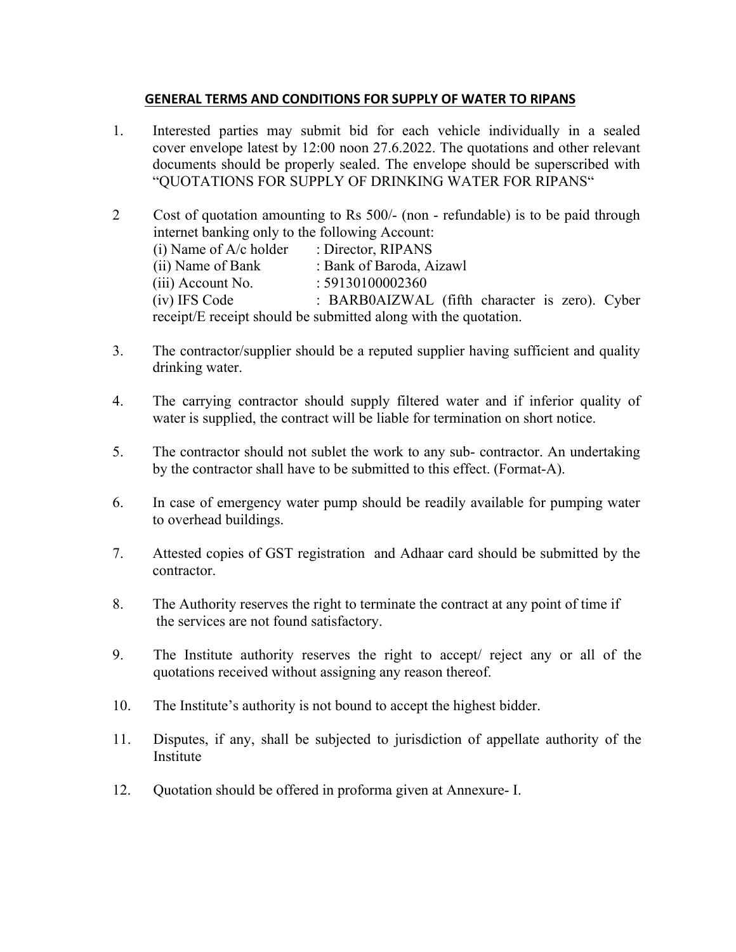#### **GENERAL TERMS AND CONDITIONS FOR SUPPLY OF WATER TO RIPANS**

- 1. Interested parties may submit bid for each vehicle individually in a sealed cover envelope latest by 12:00 noon 27.6.2022. The quotations and other relevant documents should be properly sealed. The envelope should be superscribed with "QUOTATIONS FOR SUPPLY OF DRINKING WATER FOR RIPANS"
- 2 Cost of quotation amounting to Rs 500/- (non refundable) is to be paid through internet banking only to the following Account: (i) Name of  $A/c$  holder : Director, RIPANS (ii) Name of Bank : Bank of Baroda, Aizawl (iii) Account No. : 59130100002360 (iv) IFS Code : BARB0AIZWAL (fifth character is zero). Cyber receipt/E receipt should be submitted along with the quotation.
- 3. The contractor/supplier should be a reputed supplier having sufficient and quality drinking water.
- 4. The carrying contractor should supply filtered water and if inferior quality of water is supplied, the contract will be liable for termination on short notice.
- 5. The contractor should not sublet the work to any sub- contractor. An undertaking by the contractor shall have to be submitted to this effect. (Format-A).
- 6. In case of emergency water pump should be readily available for pumping water to overhead buildings.
- 7. Attested copies of GST registration and Adhaar card should be submitted by the contractor.
- 8. The Authority reserves the right to terminate the contract at any point of time if the services are not found satisfactory.
- 9. The Institute authority reserves the right to accept/ reject any or all of the quotations received without assigning any reason thereof.
- 10. The Institute's authority is not bound to accept the highest bidder.
- 11. Disputes, if any, shall be subjected to jurisdiction of appellate authority of the Institute
- 12. Quotation should be offered in proforma given at Annexure- I.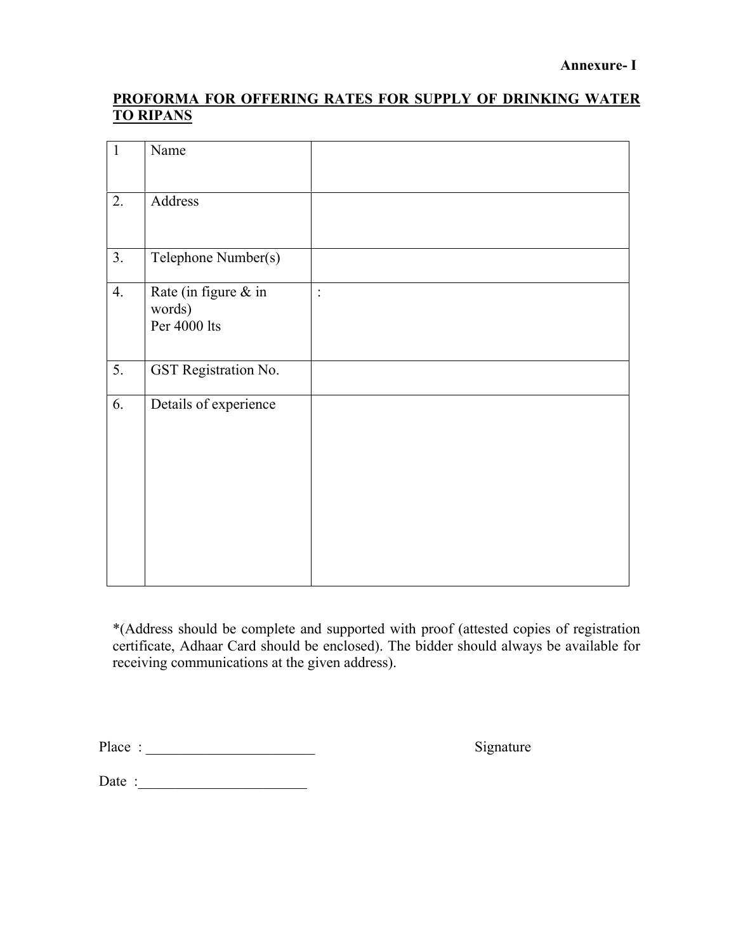## **PROFORMA FOR OFFERING RATES FOR SUPPLY OF DRINKING WATER TO RIPANS**

| $\mathbf{1}$ | Name                                           |          |
|--------------|------------------------------------------------|----------|
| 2.           | Address                                        |          |
| 3.           | Telephone Number(s)                            |          |
| 4.           | Rate (in figure & in<br>words)<br>Per 4000 lts | $\vdots$ |
| 5.           | <b>GST</b> Registration No.                    |          |
| 6.           | Details of experience                          |          |

\*(Address should be complete and supported with proof (attested copies of registration certificate, Adhaar Card should be enclosed). The bidder should always be available for receiving communications at the given address).

Place : \_\_\_\_\_\_\_\_\_\_\_\_\_\_\_\_\_\_\_\_\_\_\_ Signature

Date :\_\_\_\_\_\_\_\_\_\_\_\_\_\_\_\_\_\_\_\_\_\_\_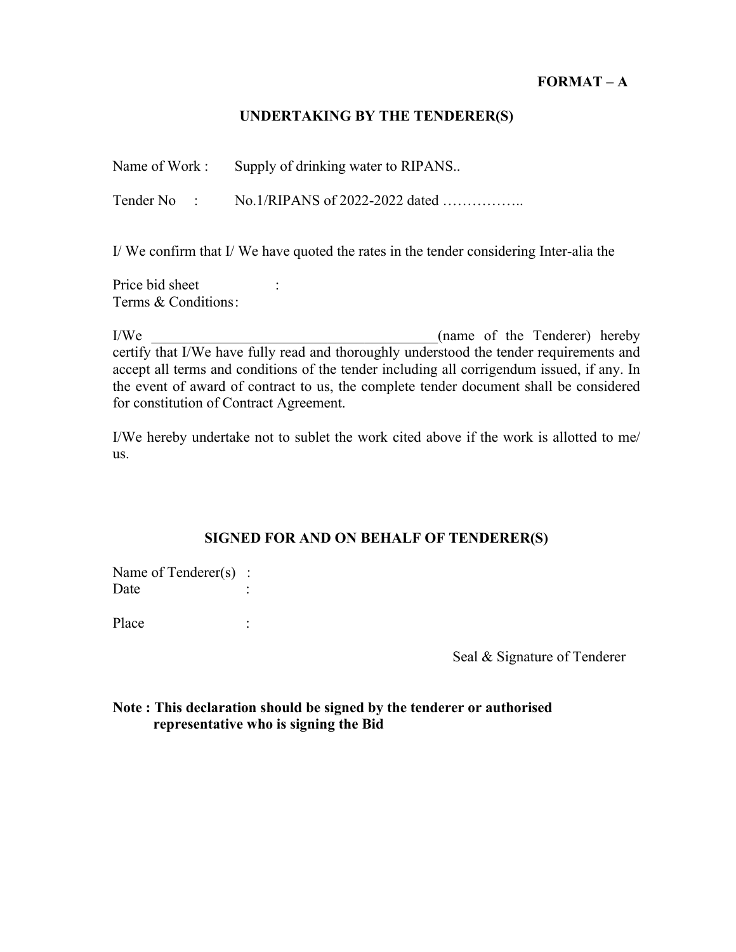## **FORMAT – A**

#### **UNDERTAKING BY THE TENDERER(S)**

| Name of Work: | Supply of drinking water to RIPANS |
|---------------|------------------------------------|
|               |                                    |

Tender No : No.1/RIPANS of 2022-2022 dated ……………..

I/ We confirm that I/ We have quoted the rates in the tender considering Inter-alia the

Price bid sheet : Terms & Conditions :

I/We \_\_\_\_\_\_\_\_\_\_\_\_\_\_\_\_\_\_\_\_\_\_\_\_\_\_\_\_\_\_\_\_\_\_\_\_\_\_\_(name of the Tenderer) hereby certify that I/We have fully read and thoroughly understood the tender requirements and accept all terms and conditions of the tender including all corrigendum issued, if any. In the event of award of contract to us, the complete tender document shall be considered for constitution of Contract Agreement.

I/We hereby undertake not to sublet the work cited above if the work is allotted to me/ us.

#### **SIGNED FOR AND ON BEHALF OF TENDERER(S)**

Name of Tenderer(s) : Date :

Place :

Seal & Signature of Tenderer

## **Note : This declaration should be signed by the tenderer or authorised representative who is signing the Bid**